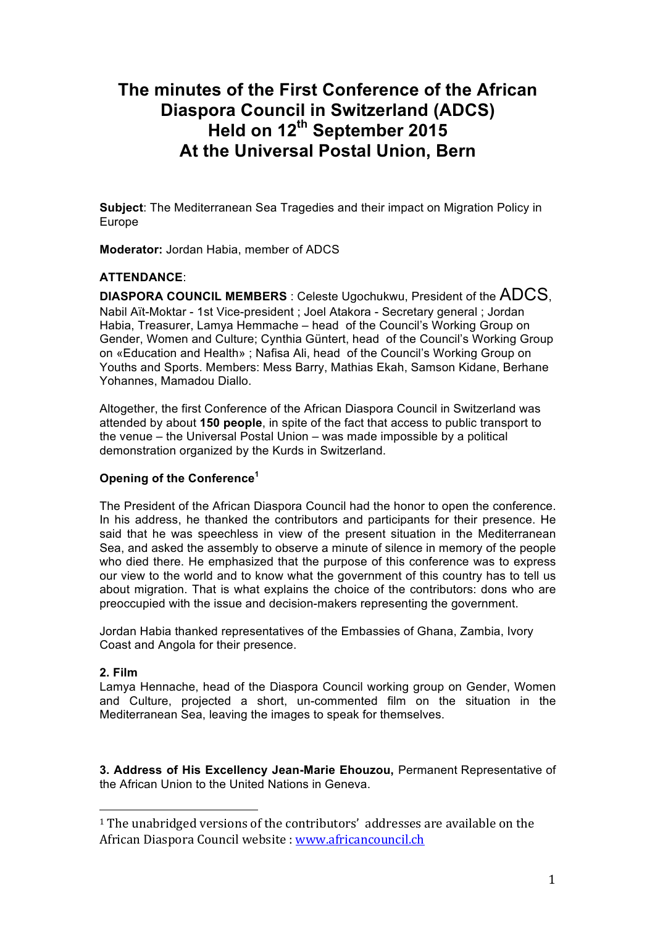# **The minutes of the First Conference of the African Diaspora Council in Switzerland (ADCS) Held on 12th September 2015 At the Universal Postal Union, Bern**

**Subject**: The Mediterranean Sea Tragedies and their impact on Migration Policy in Europe

**Moderator:** Jordan Habia, member of ADCS

## **ATTENDANCE**:

**DIASPORA COUNCIL MEMBERS** : Celeste Ugochukwu, President of the ADCS, Nabil Aït-Moktar - 1st Vice-president ; Joel Atakora - Secretary general ; Jordan Habia, Treasurer, Lamya Hemmache – head of the Council's Working Group on Gender, Women and Culture; Cynthia Güntert, head of the Council's Working Group on «Education and Health» ; Nafisa Ali, head of the Council's Working Group on Youths and Sports. Members: Mess Barry, Mathias Ekah, Samson Kidane, Berhane Yohannes, Mamadou Diallo.

Altogether, the first Conference of the African Diaspora Council in Switzerland was attended by about **150 people**, in spite of the fact that access to public transport to the venue – the Universal Postal Union – was made impossible by a political demonstration organized by the Kurds in Switzerland.

# **Opening of the Conference<sup>1</sup>**

 

The President of the African Diaspora Council had the honor to open the conference. In his address, he thanked the contributors and participants for their presence. He said that he was speechless in view of the present situation in the Mediterranean Sea, and asked the assembly to observe a minute of silence in memory of the people who died there. He emphasized that the purpose of this conference was to express our view to the world and to know what the government of this country has to tell us about migration. That is what explains the choice of the contributors: dons who are preoccupied with the issue and decision-makers representing the government.

Jordan Habia thanked representatives of the Embassies of Ghana, Zambia, Ivory Coast and Angola for their presence.

## **2. Film**

Lamya Hennache, head of the Diaspora Council working group on Gender, Women and Culture, projected a short, un-commented film on the situation in the Mediterranean Sea, leaving the images to speak for themselves.

**3. Address of His Excellency Jean-Marie Ehouzou,** Permanent Representative of the African Union to the United Nations in Geneva.

 $1$  The unabridged versions of the contributors' addresses are available on the African Diaspora Council website : www.africancouncil.ch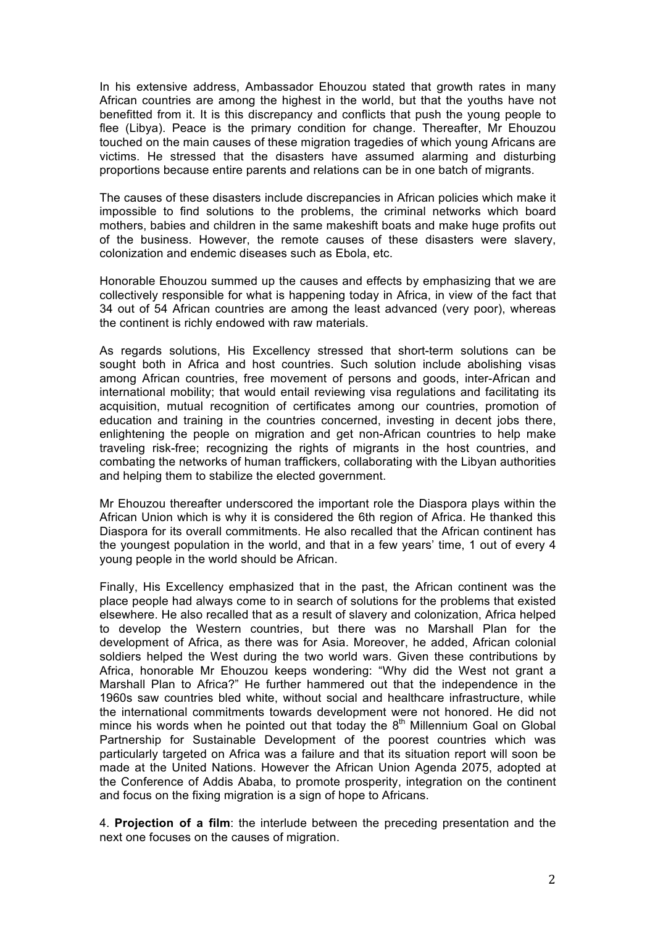In his extensive address, Ambassador Ehouzou stated that growth rates in many African countries are among the highest in the world, but that the youths have not benefitted from it. It is this discrepancy and conflicts that push the young people to flee (Libya). Peace is the primary condition for change. Thereafter, Mr Ehouzou touched on the main causes of these migration tragedies of which young Africans are victims. He stressed that the disasters have assumed alarming and disturbing proportions because entire parents and relations can be in one batch of migrants.

The causes of these disasters include discrepancies in African policies which make it impossible to find solutions to the problems, the criminal networks which board mothers, babies and children in the same makeshift boats and make huge profits out of the business. However, the remote causes of these disasters were slavery, colonization and endemic diseases such as Ebola, etc.

Honorable Ehouzou summed up the causes and effects by emphasizing that we are collectively responsible for what is happening today in Africa, in view of the fact that 34 out of 54 African countries are among the least advanced (very poor), whereas the continent is richly endowed with raw materials.

As regards solutions, His Excellency stressed that short-term solutions can be sought both in Africa and host countries. Such solution include abolishing visas among African countries, free movement of persons and goods, inter-African and international mobility; that would entail reviewing visa regulations and facilitating its acquisition, mutual recognition of certificates among our countries, promotion of education and training in the countries concerned, investing in decent jobs there, enlightening the people on migration and get non-African countries to help make traveling risk-free; recognizing the rights of migrants in the host countries, and combating the networks of human traffickers, collaborating with the Libyan authorities and helping them to stabilize the elected government.

Mr Ehouzou thereafter underscored the important role the Diaspora plays within the African Union which is why it is considered the 6th region of Africa. He thanked this Diaspora for its overall commitments. He also recalled that the African continent has the youngest population in the world, and that in a few years' time, 1 out of every 4 young people in the world should be African.

Finally, His Excellency emphasized that in the past, the African continent was the place people had always come to in search of solutions for the problems that existed elsewhere. He also recalled that as a result of slavery and colonization, Africa helped to develop the Western countries, but there was no Marshall Plan for the development of Africa, as there was for Asia. Moreover, he added, African colonial soldiers helped the West during the two world wars. Given these contributions by Africa, honorable Mr Ehouzou keeps wondering: "Why did the West not grant a Marshall Plan to Africa?" He further hammered out that the independence in the 1960s saw countries bled white, without social and healthcare infrastructure, while the international commitments towards development were not honored. He did not mince his words when he pointed out that today the  $8<sup>th</sup>$  Millennium Goal on Global Partnership for Sustainable Development of the poorest countries which was particularly targeted on Africa was a failure and that its situation report will soon be made at the United Nations. However the African Union Agenda 2075, adopted at the Conference of Addis Ababa, to promote prosperity, integration on the continent and focus on the fixing migration is a sign of hope to Africans.

4. **Projection of a film**: the interlude between the preceding presentation and the next one focuses on the causes of migration.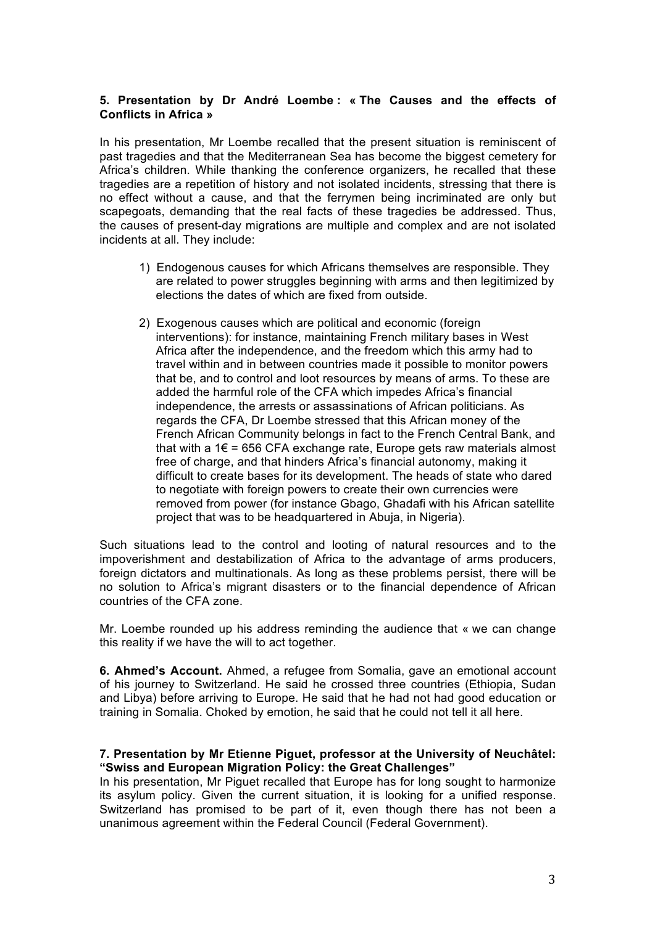## **5. Presentation by Dr André Loembe : « The Causes and the effects of Conflicts in Africa »**

In his presentation, Mr Loembe recalled that the present situation is reminiscent of past tragedies and that the Mediterranean Sea has become the biggest cemetery for Africa's children. While thanking the conference organizers, he recalled that these tragedies are a repetition of history and not isolated incidents, stressing that there is no effect without a cause, and that the ferrymen being incriminated are only but scapegoats, demanding that the real facts of these tragedies be addressed. Thus, the causes of present-day migrations are multiple and complex and are not isolated incidents at all. They include:

- 1) Endogenous causes for which Africans themselves are responsible. They are related to power struggles beginning with arms and then legitimized by elections the dates of which are fixed from outside.
- 2) Exogenous causes which are political and economic (foreign interventions): for instance, maintaining French military bases in West Africa after the independence, and the freedom which this army had to travel within and in between countries made it possible to monitor powers that be, and to control and loot resources by means of arms. To these are added the harmful role of the CFA which impedes Africa's financial independence, the arrests or assassinations of African politicians. As regards the CFA, Dr Loembe stressed that this African money of the French African Community belongs in fact to the French Central Bank, and that with a  $1 \in \infty$  = 656 CFA exchange rate, Europe gets raw materials almost free of charge, and that hinders Africa's financial autonomy, making it difficult to create bases for its development. The heads of state who dared to negotiate with foreign powers to create their own currencies were removed from power (for instance Gbago, Ghadafi with his African satellite project that was to be headquartered in Abuja, in Nigeria).

Such situations lead to the control and looting of natural resources and to the impoverishment and destabilization of Africa to the advantage of arms producers, foreign dictators and multinationals. As long as these problems persist, there will be no solution to Africa's migrant disasters or to the financial dependence of African countries of the CFA zone.

Mr. Loembe rounded up his address reminding the audience that « we can change this reality if we have the will to act together.

**6. Ahmed's Account.** Ahmed, a refugee from Somalia, gave an emotional account of his journey to Switzerland. He said he crossed three countries (Ethiopia, Sudan and Libya) before arriving to Europe. He said that he had not had good education or training in Somalia. Choked by emotion, he said that he could not tell it all here.

## **7. Presentation by Mr Etienne Piguet, professor at the University of Neuchâtel: "Swiss and European Migration Policy: the Great Challenges"**

In his presentation, Mr Piguet recalled that Europe has for long sought to harmonize its asylum policy. Given the current situation, it is looking for a unified response. Switzerland has promised to be part of it, even though there has not been a unanimous agreement within the Federal Council (Federal Government).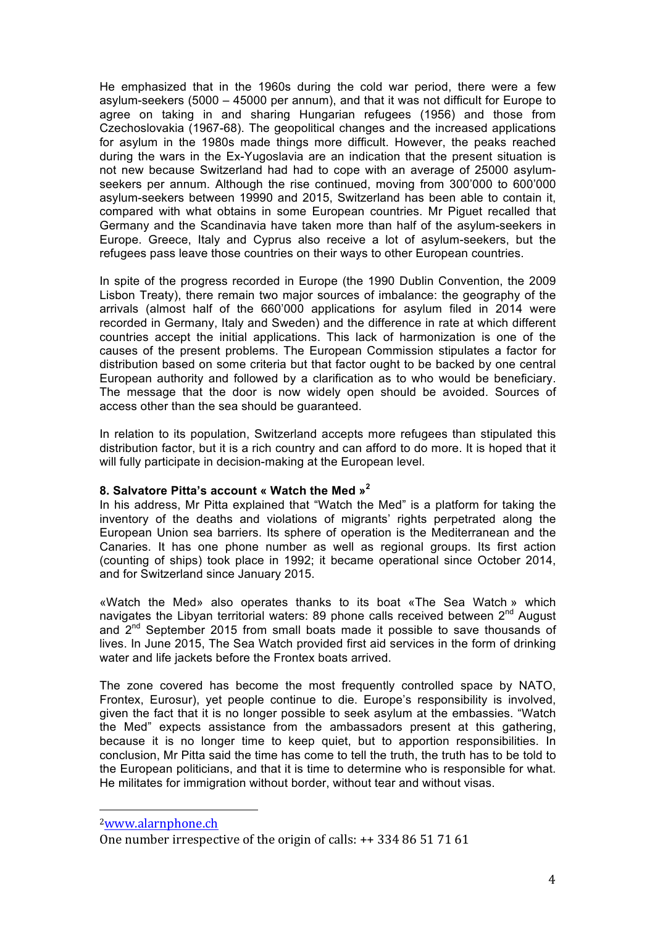He emphasized that in the 1960s during the cold war period, there were a few asylum-seekers (5000 – 45000 per annum), and that it was not difficult for Europe to agree on taking in and sharing Hungarian refugees (1956) and those from Czechoslovakia (1967-68). The geopolitical changes and the increased applications for asylum in the 1980s made things more difficult. However, the peaks reached during the wars in the Ex-Yugoslavia are an indication that the present situation is not new because Switzerland had had to cope with an average of 25000 asylumseekers per annum. Although the rise continued, moving from 300'000 to 600'000 asylum-seekers between 19990 and 2015, Switzerland has been able to contain it, compared with what obtains in some European countries. Mr Piguet recalled that Germany and the Scandinavia have taken more than half of the asylum-seekers in Europe. Greece, Italy and Cyprus also receive a lot of asylum-seekers, but the refugees pass leave those countries on their ways to other European countries.

In spite of the progress recorded in Europe (the 1990 Dublin Convention, the 2009 Lisbon Treaty), there remain two major sources of imbalance: the geography of the arrivals (almost half of the 660'000 applications for asylum filed in 2014 were recorded in Germany, Italy and Sweden) and the difference in rate at which different countries accept the initial applications. This lack of harmonization is one of the causes of the present problems. The European Commission stipulates a factor for distribution based on some criteria but that factor ought to be backed by one central European authority and followed by a clarification as to who would be beneficiary. The message that the door is now widely open should be avoided. Sources of access other than the sea should be guaranteed.

In relation to its population, Switzerland accepts more refugees than stipulated this distribution factor, but it is a rich country and can afford to do more. It is hoped that it will fully participate in decision-making at the European level.

#### **8. Salvatore Pitta's account « Watch the Med »<sup>2</sup>**

In his address, Mr Pitta explained that "Watch the Med" is a platform for taking the inventory of the deaths and violations of migrants' rights perpetrated along the European Union sea barriers. Its sphere of operation is the Mediterranean and the Canaries. It has one phone number as well as regional groups. Its first action (counting of ships) took place in 1992; it became operational since October 2014, and for Switzerland since January 2015.

«Watch the Med» also operates thanks to its boat «The Sea Watch » which navigates the Libyan territorial waters: 89 phone calls received between  $2^{nd}$  August and 2<sup>nd</sup> September 2015 from small boats made it possible to save thousands of lives. In June 2015, The Sea Watch provided first aid services in the form of drinking water and life jackets before the Frontex boats arrived.

The zone covered has become the most frequently controlled space by NATO, Frontex, Eurosur), yet people continue to die. Europe's responsibility is involved, given the fact that it is no longer possible to seek asylum at the embassies. "Watch the Med" expects assistance from the ambassadors present at this gathering, because it is no longer time to keep quiet, but to apportion responsibilities. In conclusion, Mr Pitta said the time has come to tell the truth, the truth has to be told to the European politicians, and that it is time to determine who is responsible for what. He militates for immigration without border, without tear and without visas.

 

<sup>2</sup>www.alarnphone.ch

One number irrespective of the origin of calls:  $++$  334 86 51 71 61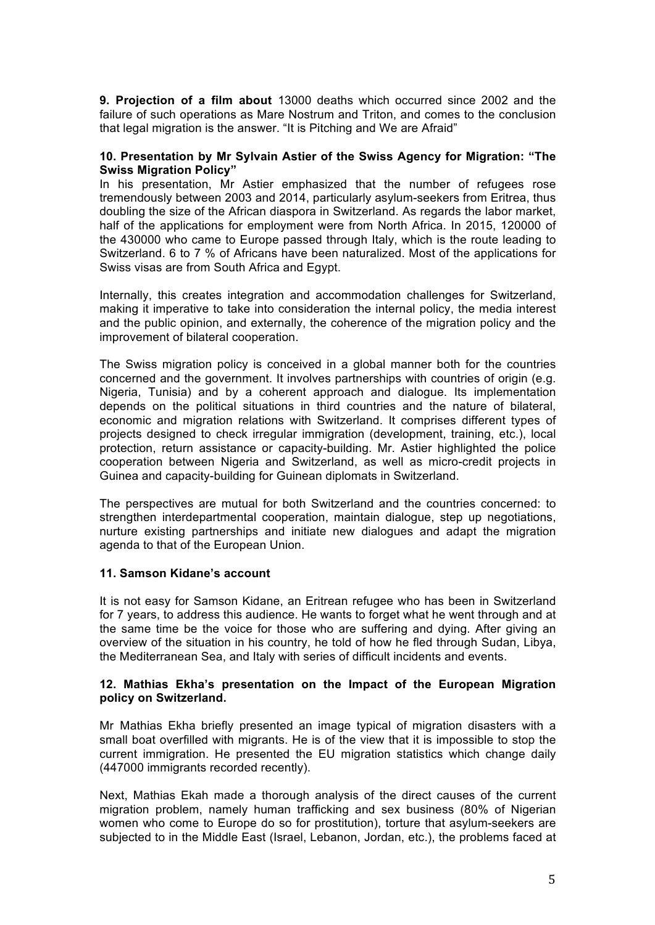**9. Projection of a film about** 13000 deaths which occurred since 2002 and the failure of such operations as Mare Nostrum and Triton, and comes to the conclusion that legal migration is the answer. "It is Pitching and We are Afraid"

## **10. Presentation by Mr Sylvain Astier of the Swiss Agency for Migration: "The Swiss Migration Policy"**

In his presentation, Mr Astier emphasized that the number of refugees rose tremendously between 2003 and 2014, particularly asylum-seekers from Eritrea, thus doubling the size of the African diaspora in Switzerland. As regards the labor market, half of the applications for employment were from North Africa. In 2015, 120000 of the 430000 who came to Europe passed through Italy, which is the route leading to Switzerland. 6 to 7 % of Africans have been naturalized. Most of the applications for Swiss visas are from South Africa and Egypt.

Internally, this creates integration and accommodation challenges for Switzerland, making it imperative to take into consideration the internal policy, the media interest and the public opinion, and externally, the coherence of the migration policy and the improvement of bilateral cooperation.

The Swiss migration policy is conceived in a global manner both for the countries concerned and the government. It involves partnerships with countries of origin (e.g. Nigeria, Tunisia) and by a coherent approach and dialogue. Its implementation depends on the political situations in third countries and the nature of bilateral, economic and migration relations with Switzerland. It comprises different types of projects designed to check irregular immigration (development, training, etc.), local protection, return assistance or capacity-building. Mr. Astier highlighted the police cooperation between Nigeria and Switzerland, as well as micro-credit projects in Guinea and capacity-building for Guinean diplomats in Switzerland.

The perspectives are mutual for both Switzerland and the countries concerned: to strengthen interdepartmental cooperation, maintain dialogue, step up negotiations, nurture existing partnerships and initiate new dialogues and adapt the migration agenda to that of the European Union.

## **11. Samson Kidane's account**

It is not easy for Samson Kidane, an Eritrean refugee who has been in Switzerland for 7 years, to address this audience. He wants to forget what he went through and at the same time be the voice for those who are suffering and dying. After giving an overview of the situation in his country, he told of how he fled through Sudan, Libya, the Mediterranean Sea, and Italy with series of difficult incidents and events.

## **12. Mathias Ekha's presentation on the Impact of the European Migration policy on Switzerland.**

Mr Mathias Ekha briefly presented an image typical of migration disasters with a small boat overfilled with migrants. He is of the view that it is impossible to stop the current immigration. He presented the EU migration statistics which change daily (447000 immigrants recorded recently).

Next, Mathias Ekah made a thorough analysis of the direct causes of the current migration problem, namely human trafficking and sex business (80% of Nigerian women who come to Europe do so for prostitution), torture that asylum-seekers are subjected to in the Middle East (Israel, Lebanon, Jordan, etc.), the problems faced at